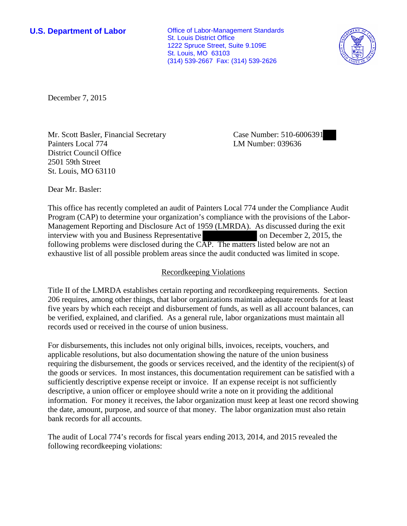**U.S. Department of Labor Office of Labor-Management Standards** St. Louis District Office 1222 Spruce Street, Suite 9.109E St. Louis, MO 63103 (314) 539-2667 Fax: (314) 539-2626



December 7, 2015

Mr. Scott Basler, Financial Secretary Painters Local 774 District Council Office 2501 59th Street St. Louis, MO 63110

Case Number: 510-6006391 LM Number: 039636



Dear Mr. Basler:

This office has recently completed an audit of Painters Local 774 under the Compliance Audit Program (CAP) to determine your organization's compliance with the provisions of the Labor-Management Reporting and Disclosure Act of 1959 (LMRDA). As discussed during the exit interview with you and Business Representative on December 2, 2015, the following problems were disclosed during the  $\overline{CAP}$ . The matters listed below are not an exhaustive list of all possible problem areas since the audit conducted was limited in scope.

## Recordkeeping Violations

Title II of the LMRDA establishes certain reporting and recordkeeping requirements. Section 206 requires, among other things, that labor organizations maintain adequate records for at least five years by which each receipt and disbursement of funds, as well as all account balances, can be verified, explained, and clarified. As a general rule, labor organizations must maintain all records used or received in the course of union business.

For disbursements, this includes not only original bills, invoices, receipts, vouchers, and applicable resolutions, but also documentation showing the nature of the union business requiring the disbursement, the goods or services received, and the identity of the recipient(s) of the goods or services. In most instances, this documentation requirement can be satisfied with a sufficiently descriptive expense receipt or invoice. If an expense receipt is not sufficiently descriptive, a union officer or employee should write a note on it providing the additional information. For money it receives, the labor organization must keep at least one record showing the date, amount, purpose, and source of that money. The labor organization must also retain bank records for all accounts.

The audit of Local 774's records for fiscal years ending 2013, 2014, and 2015 revealed the following recordkeeping violations: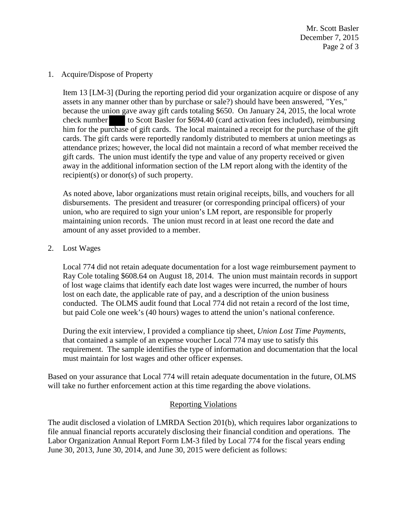Mr. Scott Basler December 7, 2015 Page 2 of 3

1. Acquire/Dispose of Property

Item 13 [LM-3] (During the reporting period did your organization acquire or dispose of any assets in any manner other than by purchase or sale?) should have been answered, "Yes," because the union gave away gift cards totaling \$650. On January 24, 2015, the local wrote check number to Scott Basler for \$694.40 (card activation fees included), reimbursing him for the purchase of gift cards. The local maintained a receipt for the purchase of the gift cards. The gift cards were reportedly randomly distributed to members at union meetings as attendance prizes; however, the local did not maintain a record of what member received the gift cards. The union must identify the type and value of any property received or given away in the additional information section of the LM report along with the identity of the recipient(s) or donor(s) of such property.

As noted above, labor organizations must retain original receipts, bills, and vouchers for all disbursements. The president and treasurer (or corresponding principal officers) of your union, who are required to sign your union's LM report, are responsible for properly maintaining union records. The union must record in at least one record the date and amount of any asset provided to a member.

2. Lost Wages

Local 774 did not retain adequate documentation for a lost wage reimbursement payment to Ray Cole totaling \$608.64 on August 18, 2014. The union must maintain records in support of lost wage claims that identify each date lost wages were incurred, the number of hours lost on each date, the applicable rate of pay, and a description of the union business conducted. The OLMS audit found that Local 774 did not retain a record of the lost time, but paid Cole one week's (40 hours) wages to attend the union's national conference.

During the exit interview, I provided a compliance tip sheet, *Union Lost Time Payments*, that contained a sample of an expense voucher Local 774 may use to satisfy this requirement. The sample identifies the type of information and documentation that the local must maintain for lost wages and other officer expenses.

Based on your assurance that Local 774 will retain adequate documentation in the future, OLMS will take no further enforcement action at this time regarding the above violations.

## Reporting Violations

The audit disclosed a violation of LMRDA Section 201(b), which requires labor organizations to file annual financial reports accurately disclosing their financial condition and operations. The Labor Organization Annual Report Form LM-3 filed by Local 774 for the fiscal years ending June 30, 2013, June 30, 2014, and June 30, 2015 were deficient as follows: